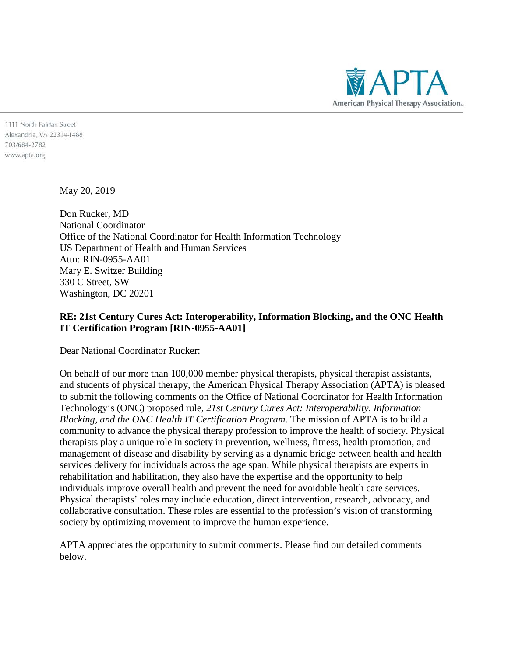

1111 North Fairfax Street Alexandria, VA 22314-1488 703/684-2782 www.apta.org

May 20, 2019

Don Rucker, MD National Coordinator Office of the National Coordinator for Health Information Technology US Department of Health and Human Services Attn: RIN-0955-AA01 Mary E. Switzer Building 330 C Street, SW Washington, DC 20201

### **RE: 21st Century Cures Act: Interoperability, Information Blocking, and the ONC Health IT Certification Program [RIN-0955-AA01]**

Dear National Coordinator Rucker:

On behalf of our more than 100,000 member physical therapists, physical therapist assistants, and students of physical therapy, the American Physical Therapy Association (APTA) is pleased to submit the following comments on the Office of National Coordinator for Health Information Technology's (ONC) proposed rule, *21st Century Cures Act: Interoperability, Information Blocking, and the ONC Health IT Certification Program*. The mission of APTA is to build a community to advance the physical therapy profession to improve the health of society. Physical therapists play a unique role in society in prevention, wellness, fitness, health promotion, and management of disease and disability by serving as a dynamic bridge between health and health services delivery for individuals across the age span. While physical therapists are experts in rehabilitation and habilitation, they also have the expertise and the opportunity to help individuals improve overall health and prevent the need for avoidable health care services. Physical therapists' roles may include education, direct intervention, research, advocacy, and collaborative consultation. These roles are essential to the profession's vision of transforming society by optimizing movement to improve the human experience.

APTA appreciates the opportunity to submit comments. Please find our detailed comments below.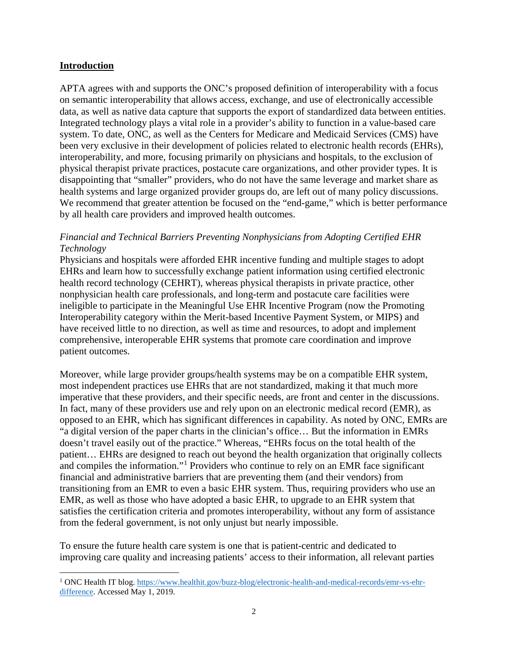### **Introduction**

 $\overline{a}$ 

APTA agrees with and supports the ONC's proposed definition of interoperability with a focus on semantic interoperability that allows access, exchange, and use of electronically accessible data, as well as native data capture that supports the export of standardized data between entities. Integrated technology plays a vital role in a provider's ability to function in a value-based care system. To date, ONC, as well as the Centers for Medicare and Medicaid Services (CMS) have been very exclusive in their development of policies related to electronic health records (EHRs), interoperability, and more, focusing primarily on physicians and hospitals, to the exclusion of physical therapist private practices, postacute care organizations, and other provider types. It is disappointing that "smaller" providers, who do not have the same leverage and market share as health systems and large organized provider groups do, are left out of many policy discussions. We recommend that greater attention be focused on the "end-game," which is better performance by all health care providers and improved health outcomes.

### *Financial and Technical Barriers Preventing Nonphysicians from Adopting Certified EHR Technology*

Physicians and hospitals were afforded EHR incentive funding and multiple stages to adopt EHRs and learn how to successfully exchange patient information using certified electronic health record technology (CEHRT), whereas physical therapists in private practice, other nonphysician health care professionals, and long-term and postacute care facilities were ineligible to participate in the Meaningful Use EHR Incentive Program (now the Promoting Interoperability category within the Merit-based Incentive Payment System, or MIPS) and have received little to no direction, as well as time and resources, to adopt and implement comprehensive, interoperable EHR systems that promote care coordination and improve patient outcomes.

Moreover, while large provider groups/health systems may be on a compatible EHR system, most independent practices use EHRs that are not standardized, making it that much more imperative that these providers, and their specific needs, are front and center in the discussions. In fact, many of these providers use and rely upon on an electronic medical record (EMR), as opposed to an EHR, which has significant differences in capability. As noted by ONC, EMRs are "a digital version of the paper charts in the clinician's office… But the information in EMRs doesn't travel easily out of the practice." Whereas, "EHRs focus on the total health of the patient… EHRs are designed to reach out beyond the health organization that originally collects and compiles the information."[1](#page-1-0) Providers who continue to rely on an EMR face significant financial and administrative barriers that are preventing them (and their vendors) from transitioning from an EMR to even a basic EHR system. Thus, requiring providers who use an EMR, as well as those who have adopted a basic EHR, to upgrade to an EHR system that satisfies the certification criteria and promotes interoperability, without any form of assistance from the federal government, is not only unjust but nearly impossible.

To ensure the future health care system is one that is patient-centric and dedicated to improving care quality and increasing patients' access to their information, all relevant parties

<span id="page-1-0"></span><sup>&</sup>lt;sup>1</sup> ONC Health IT blog. [https://www.healthit.gov/buzz-blog/electronic-health-and-medical-records/emr-vs-ehr](https://www.healthit.gov/buzz-blog/electronic-health-and-medical-records/emr-vs-ehr-difference)[difference.](https://www.healthit.gov/buzz-blog/electronic-health-and-medical-records/emr-vs-ehr-difference) Accessed May 1, 2019.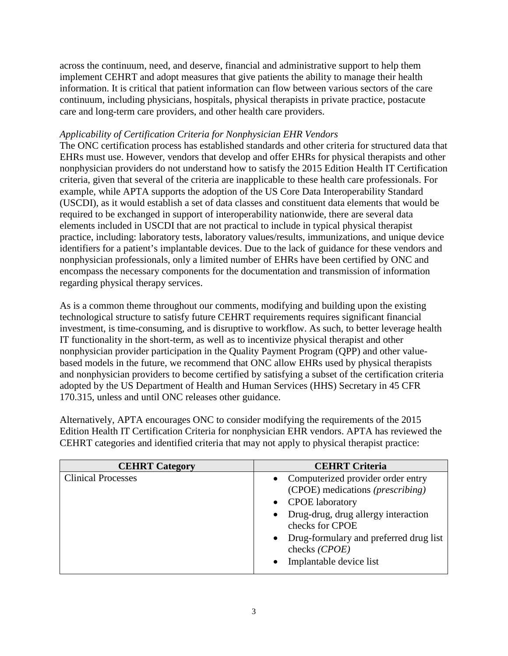across the continuum, need, and deserve, financial and administrative support to help them implement CEHRT and adopt measures that give patients the ability to manage their health information. It is critical that patient information can flow between various sectors of the care continuum, including physicians, hospitals, physical therapists in private practice, postacute care and long-term care providers, and other health care providers.

### *Applicability of Certification Criteria for Nonphysician EHR Vendors*

The ONC certification process has established standards and other criteria for structured data that EHRs must use. However, vendors that develop and offer EHRs for physical therapists and other nonphysician providers do not understand how to satisfy the 2015 Edition Health IT Certification criteria, given that several of the criteria are inapplicable to these health care professionals. For example, while APTA supports the adoption of the US Core Data Interoperability Standard (USCDI), as it would establish a set of data classes and constituent data elements that would be required to be exchanged in support of interoperability nationwide, there are several data elements included in USCDI that are not practical to include in typical physical therapist practice, including: laboratory tests, laboratory values/results, immunizations, and unique device identifiers for a patient's implantable devices. Due to the lack of guidance for these vendors and nonphysician professionals, only a limited number of EHRs have been certified by ONC and encompass the necessary components for the documentation and transmission of information regarding physical therapy services.

As is a common theme throughout our comments, modifying and building upon the existing technological structure to satisfy future CEHRT requirements requires significant financial investment, is time-consuming, and is disruptive to workflow. As such, to better leverage health IT functionality in the short-term, as well as to incentivize physical therapist and other nonphysician provider participation in the Quality Payment Program (QPP) and other valuebased models in the future, we recommend that ONC allow EHRs used by physical therapists and nonphysician providers to become certified by satisfying a subset of the certification criteria adopted by the US Department of Health and Human Services (HHS) Secretary in 45 CFR 170.315, unless and until ONC releases other guidance.

Alternatively, APTA encourages ONC to consider modifying the requirements of the 2015 Edition Health IT Certification Criteria for nonphysician EHR vendors. APTA has reviewed the CEHRT categories and identified criteria that may not apply to physical therapist practice:

| <b>CEHRT</b> Category     | <b>CEHRT</b> Criteria                                     |
|---------------------------|-----------------------------------------------------------|
| <b>Clinical Processes</b> | • Computerized provider order entry                       |
|                           | (CPOE) medications ( <i>prescribing</i> )                 |
|                           | • CPOE laboratory                                         |
|                           | • Drug-drug, drug allergy interaction<br>checks for CPOE  |
|                           | • Drug-formulary and preferred drug list<br>checks (CPOE) |
|                           | Implantable device list<br>$\bullet$                      |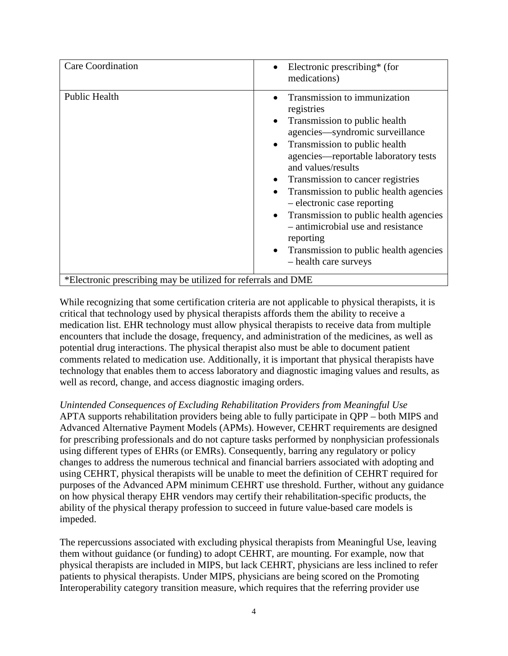| <b>Care Coordination</b>                                      | Electronic prescribing* (for<br>medications)                                                                                                                                                                                                                                                                                                                                                                                                                                                                                                                              |
|---------------------------------------------------------------|---------------------------------------------------------------------------------------------------------------------------------------------------------------------------------------------------------------------------------------------------------------------------------------------------------------------------------------------------------------------------------------------------------------------------------------------------------------------------------------------------------------------------------------------------------------------------|
| Public Health                                                 | Transmission to immunization<br>registries<br>Transmission to public health<br>$\bullet$<br>agencies—syndromic surveillance<br>Transmission to public health<br>$\bullet$<br>agencies—reportable laboratory tests<br>and values/results<br>Transmission to cancer registries<br>$\bullet$<br>Transmission to public health agencies<br>$\bullet$<br>- electronic case reporting<br>Transmission to public health agencies<br>$\bullet$<br>- antimicrobial use and resistance<br>reporting<br>Transmission to public health agencies<br>$\bullet$<br>- health care surveys |
| *Electronic prescribing may be utilized for referrals and DME |                                                                                                                                                                                                                                                                                                                                                                                                                                                                                                                                                                           |

While recognizing that some certification criteria are not applicable to physical therapists, it is critical that technology used by physical therapists affords them the ability to receive a medication list. EHR technology must allow physical therapists to receive data from multiple encounters that include the dosage, frequency, and administration of the medicines, as well as potential drug interactions. The physical therapist also must be able to document patient comments related to medication use. Additionally, it is important that physical therapists have technology that enables them to access laboratory and diagnostic imaging values and results, as well as record, change, and access diagnostic imaging orders.

*Unintended Consequences of Excluding Rehabilitation Providers from Meaningful Use* APTA supports rehabilitation providers being able to fully participate in QPP – both MIPS and Advanced Alternative Payment Models (APMs). However, CEHRT requirements are designed for prescribing professionals and do not capture tasks performed by nonphysician professionals using different types of EHRs (or EMRs). Consequently, barring any regulatory or policy changes to address the numerous technical and financial barriers associated with adopting and using CEHRT, physical therapists will be unable to meet the definition of CEHRT required for purposes of the Advanced APM minimum CEHRT use threshold. Further, without any guidance on how physical therapy EHR vendors may certify their rehabilitation-specific products, the ability of the physical therapy profession to succeed in future value-based care models is impeded.

The repercussions associated with excluding physical therapists from Meaningful Use, leaving them without guidance (or funding) to adopt CEHRT, are mounting. For example, now that physical therapists are included in MIPS, but lack CEHRT, physicians are less inclined to refer patients to physical therapists. Under MIPS, physicians are being scored on the Promoting Interoperability category transition measure, which requires that the referring provider use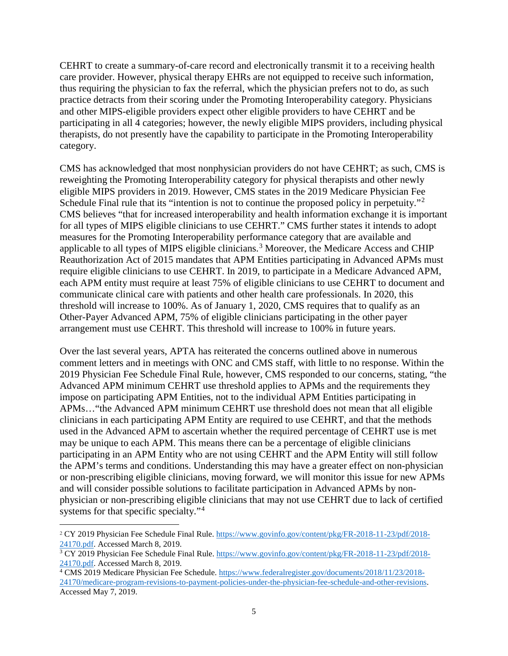CEHRT to create a summary-of-care record and electronically transmit it to a receiving health care provider. However, physical therapy EHRs are not equipped to receive such information, thus requiring the physician to fax the referral, which the physician prefers not to do, as such practice detracts from their scoring under the Promoting Interoperability category. Physicians and other MIPS-eligible providers expect other eligible providers to have CEHRT and be participating in all 4 categories; however, the newly eligible MIPS providers, including physical therapists, do not presently have the capability to participate in the Promoting Interoperability category.

CMS has acknowledged that most nonphysician providers do not have CEHRT; as such, CMS is reweighting the Promoting Interoperability category for physical therapists and other newly eligible MIPS providers in 2019. However, CMS states in the 2019 Medicare Physician Fee Schedule Final rule that its "intention is not to continue the proposed policy in perpetuity."<sup>[2](#page-4-0)</sup> CMS believes "that for increased interoperability and health information exchange it is important for all types of MIPS eligible clinicians to use CEHRT." CMS further states it intends to adopt measures for the Promoting Interoperability performance category that are available and applicable to all types of MIPS eligible clinicians.<sup>[3](#page-4-1)</sup> Moreover, the Medicare Access and CHIP Reauthorization Act of 2015 mandates that APM Entities participating in Advanced APMs must require eligible clinicians to use CEHRT. In 2019, to participate in a Medicare Advanced APM, each APM entity must require at least 75% of eligible clinicians to use CEHRT to document and communicate clinical care with patients and other health care professionals. In 2020, this threshold will increase to 100%. As of January 1, 2020, CMS requires that to qualify as an Other-Payer Advanced APM, 75% of eligible clinicians participating in the other payer arrangement must use CEHRT. This threshold will increase to 100% in future years.

Over the last several years, APTA has reiterated the concerns outlined above in numerous comment letters and in meetings with ONC and CMS staff, with little to no response. Within the 2019 Physician Fee Schedule Final Rule, however, CMS responded to our concerns, stating, "the Advanced APM minimum CEHRT use threshold applies to APMs and the requirements they impose on participating APM Entities, not to the individual APM Entities participating in APMs…"the Advanced APM minimum CEHRT use threshold does not mean that all eligible clinicians in each participating APM Entity are required to use CEHRT, and that the methods used in the Advanced APM to ascertain whether the required percentage of CEHRT use is met may be unique to each APM. This means there can be a percentage of eligible clinicians participating in an APM Entity who are not using CEHRT and the APM Entity will still follow the APM's terms and conditions. Understanding this may have a greater effect on non-physician or non-prescribing eligible clinicians, moving forward, we will monitor this issue for new APMs and will consider possible solutions to facilitate participation in Advanced APMs by nonphysician or non-prescribing eligible clinicians that may not use CEHRT due to lack of certified systems for that specific specialty."<sup>[4](#page-4-2)</sup>

<span id="page-4-0"></span> <sup>2</sup> CY 2019 Physician Fee Schedule Final Rule. [https://www.govinfo.gov/content/pkg/FR-2018-11-23/pdf/2018-](https://www.govinfo.gov/content/pkg/FR-2018-11-23/pdf/2018-24170.pdf) [24170.pdf.](https://www.govinfo.gov/content/pkg/FR-2018-11-23/pdf/2018-24170.pdf) Accessed March 8, 2019.

<span id="page-4-1"></span><sup>&</sup>lt;sup>3</sup> CY 2019 Physician Fee Schedule Final Rule. [https://www.govinfo.gov/content/pkg/FR-2018-11-23/pdf/2018-](https://www.govinfo.gov/content/pkg/FR-2018-11-23/pdf/2018-24170.pdf)24170.pdf. Accessed March 8, 2019.

<span id="page-4-2"></span><sup>&</sup>lt;sup>4</sup> CMS 2019 Medicare Physician Fee Schedule. [https://www.federalregister.gov/documents/2018/11/23/2018-](https://www.federalregister.gov/documents/2018/11/23/2018-24170/medicare-program-revisions-to-payment-policies-under-the-physician-fee-schedule-and-other-revisions) [24170/medicare-program-revisions-to-payment-policies-under-the-physician-fee-schedule-and-other-revisions.](https://www.federalregister.gov/documents/2018/11/23/2018-24170/medicare-program-revisions-to-payment-policies-under-the-physician-fee-schedule-and-other-revisions)  Accessed May 7, 2019.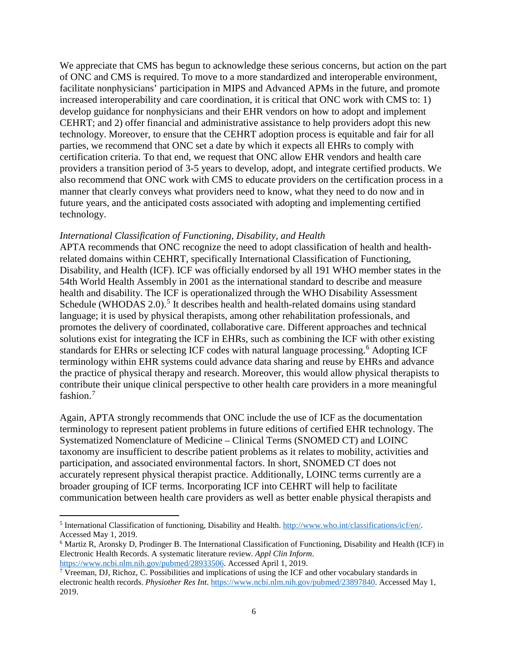We appreciate that CMS has begun to acknowledge these serious concerns, but action on the part of ONC and CMS is required. To move to a more standardized and interoperable environment, facilitate nonphysicians' participation in MIPS and Advanced APMs in the future, and promote increased interoperability and care coordination, it is critical that ONC work with CMS to: 1) develop guidance for nonphysicians and their EHR vendors on how to adopt and implement CEHRT; and 2) offer financial and administrative assistance to help providers adopt this new technology. Moreover, to ensure that the CEHRT adoption process is equitable and fair for all parties, we recommend that ONC set a date by which it expects all EHRs to comply with certification criteria. To that end, we request that ONC allow EHR vendors and health care providers a transition period of 3-5 years to develop, adopt, and integrate certified products. We also recommend that ONC work with CMS to educate providers on the certification process in a manner that clearly conveys what providers need to know, what they need to do now and in future years, and the anticipated costs associated with adopting and implementing certified technology.

#### *International Classification of Functioning, Disability, and Health*

APTA recommends that ONC recognize the need to adopt classification of health and healthrelated domains within CEHRT, specifically International Classification of Functioning, Disability, and Health (ICF). ICF was officially endorsed by all 191 WHO member states in the 54th World Health Assembly in 2001 as the international standard to describe and measure health and disability. The ICF is operationalized through the WHO Disability Assessment Schedule (WHODAS  $2.0$ ).<sup>[5](#page-5-0)</sup> It describes health and health-related domains using standard language; it is used by physical therapists, among other rehabilitation professionals, and promotes the delivery of coordinated, collaborative care. Different approaches and technical solutions exist for integrating the ICF in EHRs, such as combining the ICF with other existing standards for EHRs or selecting ICF codes with natural language processing.<sup>[6](#page-5-1)</sup> Adopting ICF terminology within EHR systems could advance data sharing and reuse by EHRs and advance the practice of physical therapy and research. Moreover, this would allow physical therapists to contribute their unique clinical perspective to other health care providers in a more meaningful fashion.<sup>[7](#page-5-2)</sup>

Again, APTA strongly recommends that ONC include the use of ICF as the documentation terminology to represent patient problems in future editions of certified EHR technology. The Systematized Nomenclature of Medicine – Clinical Terms (SNOMED CT) and LOINC taxonomy are insufficient to describe patient problems as it relates to mobility, activities and participation, and associated environmental factors. In short, SNOMED CT does not accurately represent physical therapist practice. Additionally, LOINC terms currently are a broader grouping of ICF terms. Incorporating ICF into CEHRT will help to facilitate communication between health care providers as well as better enable physical therapists and

 $\overline{a}$ 

<span id="page-5-0"></span><sup>5</sup> International Classification of functioning, Disability and Health. [http://www.who.int/classifications/icf/en/.](http://www.who.int/classifications/icf/en/)  Accessed May 1, 2019.

<span id="page-5-1"></span><sup>6</sup> Martiz R, Aronsky D, Prodinger B. The International Classification of Functioning, Disability and Health (ICF) in Electronic Health Records. A systematic literature review. *Appl Clin Inform*.

<span id="page-5-2"></span>https://www.ncbi.nlm.nih.gov/pubmed/28933506. Accessed April 1, 2019.<br><sup>7</sup> Vreeman, DJ, Richoz, C. Possibilities and implications of using the ICF and other vocabulary standards in electronic health records. *Physiother Res Int*. [https://www.ncbi.nlm.nih.gov/pubmed/23897840.](https://www.ncbi.nlm.nih.gov/pubmed/23897840) Accessed May 1, 2019.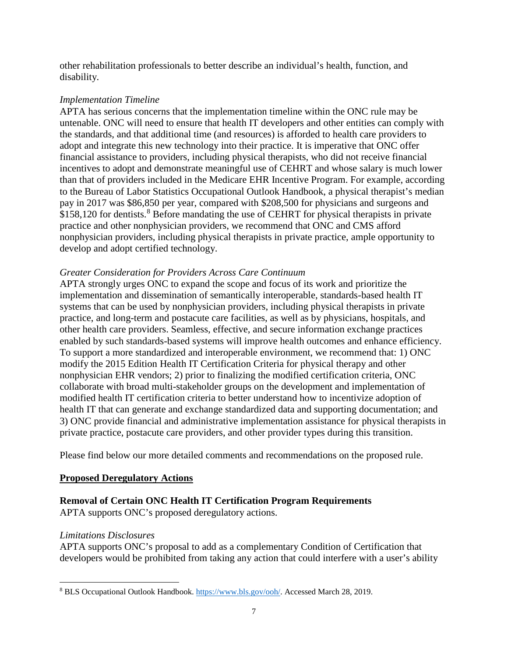other rehabilitation professionals to better describe an individual's health, function, and disability.

# *Implementation Timeline*

APTA has serious concerns that the implementation timeline within the ONC rule may be untenable. ONC will need to ensure that health IT developers and other entities can comply with the standards, and that additional time (and resources) is afforded to health care providers to adopt and integrate this new technology into their practice. It is imperative that ONC offer financial assistance to providers, including physical therapists, who did not receive financial incentives to adopt and demonstrate meaningful use of CEHRT and whose salary is much lower than that of providers included in the Medicare EHR Incentive Program. For example, according to the Bureau of Labor Statistics Occupational Outlook Handbook, a physical therapist's median pay in 2017 was \$86,850 per year, compared with \$208,500 for physicians and surgeons and \$15[8](#page-6-0),120 for dentists.<sup>8</sup> Before mandating the use of CEHRT for physical therapists in private practice and other nonphysician providers, we recommend that ONC and CMS afford nonphysician providers, including physical therapists in private practice, ample opportunity to develop and adopt certified technology.

# *Greater Consideration for Providers Across Care Continuum*

APTA strongly urges ONC to expand the scope and focus of its work and prioritize the implementation and dissemination of semantically interoperable, standards-based health IT systems that can be used by nonphysician providers, including physical therapists in private practice, and long-term and postacute care facilities, as well as by physicians, hospitals, and other health care providers. Seamless, effective, and secure information exchange practices enabled by such standards-based systems will improve health outcomes and enhance efficiency. To support a more standardized and interoperable environment, we recommend that: 1) ONC modify the 2015 Edition Health IT Certification Criteria for physical therapy and other nonphysician EHR vendors; 2) prior to finalizing the modified certification criteria, ONC collaborate with broad multi-stakeholder groups on the development and implementation of modified health IT certification criteria to better understand how to incentivize adoption of health IT that can generate and exchange standardized data and supporting documentation; and 3) ONC provide financial and administrative implementation assistance for physical therapists in private practice, postacute care providers, and other provider types during this transition.

Please find below our more detailed comments and recommendations on the proposed rule.

# **Proposed Deregulatory Actions**

# **Removal of Certain ONC Health IT Certification Program Requirements**

APTA supports ONC's proposed deregulatory actions.

#### *Limitations Disclosures*

APTA supports ONC's proposal to add as a complementary Condition of Certification that developers would be prohibited from taking any action that could interfere with a user's ability

<span id="page-6-0"></span> $\overline{a}$ <sup>8</sup> BLS Occupational Outlook Handbook. [https://www.bls.gov/ooh/.](https://www.bls.gov/ooh/) Accessed March 28, 2019.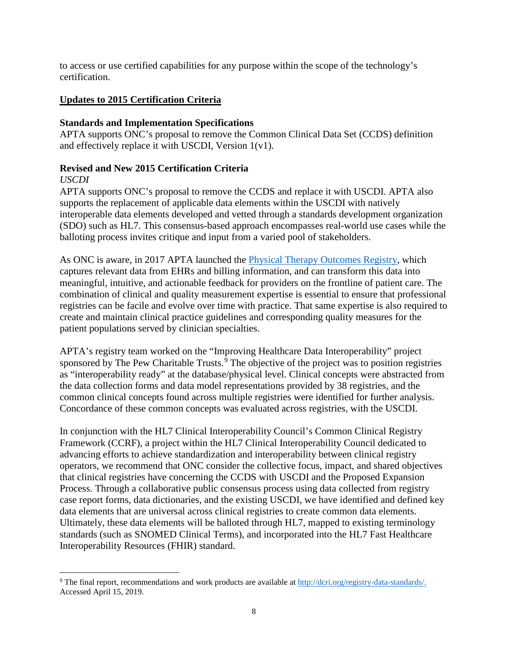to access or use certified capabilities for any purpose within the scope of the technology's certification.

# **Updates to 2015 Certification Criteria**

# **Standards and Implementation Specifications**

APTA supports ONC's proposal to remove the Common Clinical Data Set (CCDS) definition and effectively replace it with USCDI, Version  $1(v1)$ .

# **Revised and New 2015 Certification Criteria**

### *USCDI*

APTA supports ONC's proposal to remove the CCDS and replace it with USCDI. APTA also supports the replacement of applicable data elements within the USCDI with natively interoperable data elements developed and vetted through a standards development organization (SDO) such as HL7. This consensus-based approach encompasses real-world use cases while the balloting process invites critique and input from a varied pool of stakeholders.

As ONC is aware, in 2017 APTA launched the [Physical Therapy Outcomes Registry,](http://www.ptoutcomes.com/home.aspx) which captures relevant data from EHRs and billing information, and can transform this data into meaningful, intuitive, and actionable feedback for providers on the frontline of patient care. The combination of clinical and quality measurement expertise is essential to ensure that professional registries can be facile and evolve over time with practice. That same expertise is also required to create and maintain clinical practice guidelines and corresponding quality measures for the patient populations served by clinician specialties.

APTA's registry team worked on the "Improving Healthcare Data Interoperability" project sponsored by The Pew Charitable Trusts. $\frac{5}{9}$  $\frac{5}{9}$  $\frac{5}{9}$  The objective of the project was to position registries as "interoperability ready" at the database/physical level. Clinical concepts were abstracted from the data collection forms and data model representations provided by 38 registries, and the common clinical concepts found across multiple registries were identified for further analysis. Concordance of these common concepts was evaluated across registries, with the USCDI.

In conjunction with the HL7 Clinical Interoperability Council's Common Clinical Registry Framework (CCRF), a project within the HL7 Clinical Interoperability Council dedicated to advancing efforts to achieve standardization and interoperability between clinical registry operators, we recommend that ONC consider the collective focus, impact, and shared objectives that clinical registries have concerning the CCDS with USCDI and the Proposed Expansion Process. Through a collaborative public consensus process using data collected from registry case report forms, data dictionaries, and the existing USCDI, we have identified and defined key data elements that are universal across clinical registries to create common data elements. Ultimately, these data elements will be balloted through HL7, mapped to existing terminology standards (such as SNOMED Clinical Terms), and incorporated into the HL7 Fast Healthcare Interoperability Resources (FHIR) standard.

<span id="page-7-0"></span> $\overline{a}$ <sup>9</sup> The final report, recommendations and work products are available at http://dcri.org/registry-data-standards/. Accessed April 15, 2019.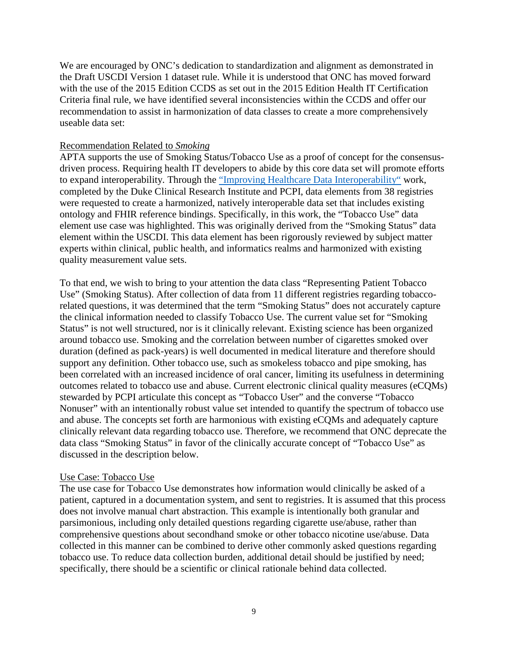We are encouraged by ONC's dedication to standardization and alignment as demonstrated in the Draft USCDI Version 1 dataset rule. While it is understood that ONC has moved forward with the use of the 2015 Edition CCDS as set out in the 2015 Edition Health IT Certification Criteria final rule, we have identified several inconsistencies within the CCDS and offer our recommendation to assist in harmonization of data classes to create a more comprehensively useable data set:

#### Recommendation Related to *Smoking*

APTA supports the use of Smoking Status/Tobacco Use as a proof of concept for the consensusdriven process. Requiring health IT developers to abide by this core data set will promote efforts to expand interoperability. Through the ["Improving Healthcare Data Interoperability"](https://dcri.org/registry-data-standards/) work, completed by the Duke Clinical Research Institute and PCPI, data elements from 38 registries were requested to create a harmonized, natively interoperable data set that includes existing ontology and FHIR reference bindings. Specifically, in this work, the "Tobacco Use" data element use case was highlighted. This was originally derived from the "Smoking Status" data element within the USCDI. This data element has been rigorously reviewed by subject matter experts within clinical, public health, and informatics realms and harmonized with existing quality measurement value sets.

To that end, we wish to bring to your attention the data class "Representing Patient Tobacco Use" (Smoking Status). After collection of data from 11 different registries regarding tobaccorelated questions, it was determined that the term "Smoking Status" does not accurately capture the clinical information needed to classify Tobacco Use. The current value set for "Smoking Status" is not well structured, nor is it clinically relevant. Existing science has been organized around tobacco use. Smoking and the correlation between number of cigarettes smoked over duration (defined as pack-years) is well documented in medical literature and therefore should support any definition. Other tobacco use, such as smokeless tobacco and pipe smoking, has been correlated with an increased incidence of oral cancer, limiting its usefulness in determining outcomes related to tobacco use and abuse. Current electronic clinical quality measures (eCQMs) stewarded by PCPI articulate this concept as "Tobacco User" and the converse "Tobacco Nonuser" with an intentionally robust value set intended to quantify the spectrum of tobacco use and abuse. The concepts set forth are harmonious with existing eCQMs and adequately capture clinically relevant data regarding tobacco use. Therefore, we recommend that ONC deprecate the data class "Smoking Status" in favor of the clinically accurate concept of "Tobacco Use" as discussed in the description below.

#### Use Case: Tobacco Use

The use case for Tobacco Use demonstrates how information would clinically be asked of a patient, captured in a documentation system, and sent to registries. It is assumed that this process does not involve manual chart abstraction. This example is intentionally both granular and parsimonious, including only detailed questions regarding cigarette use/abuse, rather than comprehensive questions about secondhand smoke or other tobacco nicotine use/abuse. Data collected in this manner can be combined to derive other commonly asked questions regarding tobacco use. To reduce data collection burden, additional detail should be justified by need; specifically, there should be a scientific or clinical rationale behind data collected.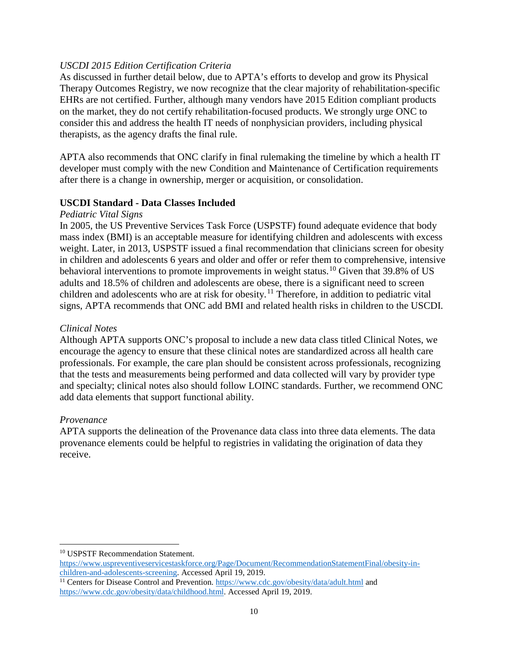### *USCDI 2015 Edition Certification Criteria*

As discussed in further detail below, due to APTA's efforts to develop and grow its Physical Therapy Outcomes Registry, we now recognize that the clear majority of rehabilitation-specific EHRs are not certified. Further, although many vendors have 2015 Edition compliant products on the market, they do not certify rehabilitation-focused products. We strongly urge ONC to consider this and address the health IT needs of nonphysician providers, including physical therapists, as the agency drafts the final rule.

APTA also recommends that ONC clarify in final rulemaking the timeline by which a health IT developer must comply with the new Condition and Maintenance of Certification requirements after there is a change in ownership, merger or acquisition, or consolidation.

#### **USCDI Standard - Data Classes Included**

#### *Pediatric Vital Signs*

In 2005, the US Preventive Services Task Force (USPSTF) found adequate evidence that body mass index (BMI) is an acceptable measure for identifying children and adolescents with excess weight. Later, in 2013, USPSTF issued a final recommendation that clinicians screen for obesity in children and adolescents 6 years and older and offer or refer them to comprehensive, intensive behavioral interventions to promote improvements in weight status.<sup>[10](#page-9-0)</sup> Given that 39.8% of US adults and 18.5% of children and adolescents are obese, there is a significant need to screen children and adolescents who are at risk for obesity.<sup>[11](#page-9-1)</sup> Therefore, in addition to pediatric vital signs, APTA recommends that ONC add BMI and related health risks in children to the USCDI.

#### *Clinical Notes*

Although APTA supports ONC's proposal to include a new data class titled Clinical Notes, we encourage the agency to ensure that these clinical notes are standardized across all health care professionals. For example, the care plan should be consistent across professionals, recognizing that the tests and measurements being performed and data collected will vary by provider type and specialty; clinical notes also should follow LOINC standards. Further, we recommend ONC add data elements that support functional ability.

#### *Provenance*

 $\ddot{\phantom{a}}$ 

APTA supports the delineation of the Provenance data class into three data elements. The data provenance elements could be helpful to registries in validating the origination of data they receive.

<span id="page-9-0"></span><sup>&</sup>lt;sup>10</sup> USPSTF Recommendation Statement.

[https://www.uspreventiveservicestaskforce.org/Page/Document/RecommendationStatementFinal/obesity-in](https://www.uspreventiveservicestaskforce.org/Page/Document/RecommendationStatementFinal/obesity-in-children-and-adolescents-screening)[children-and-adolescents-screening.](https://www.uspreventiveservicestaskforce.org/Page/Document/RecommendationStatementFinal/obesity-in-children-and-adolescents-screening) Accessed April 19, 2019.

<span id="page-9-1"></span><sup>&</sup>lt;sup>11</sup> Centers for Disease Control and Prevention.<https://www.cdc.gov/obesity/data/adult.html> and [https://www.cdc.gov/obesity/data/childhood.html.](https://www.cdc.gov/obesity/data/childhood.html) Accessed April 19, 2019.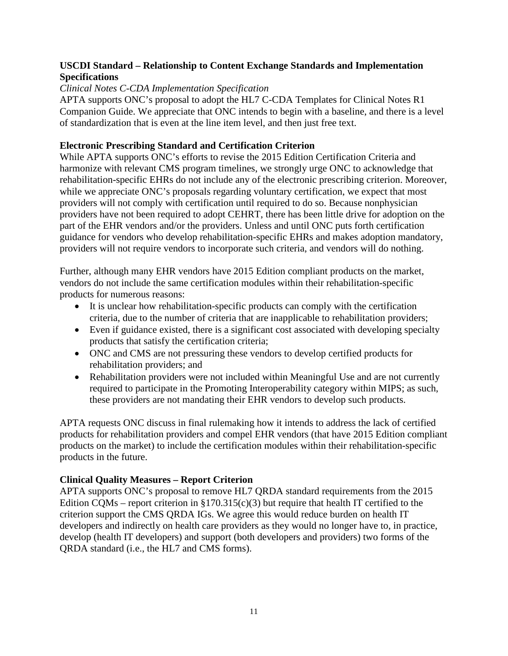### **USCDI Standard – Relationship to Content Exchange Standards and Implementation Specifications**

#### *Clinical Notes C-CDA Implementation Specification*

APTA supports ONC's proposal to adopt the HL7 C-CDA Templates for Clinical Notes R1 Companion Guide. We appreciate that ONC intends to begin with a baseline, and there is a level of standardization that is even at the line item level, and then just free text.

### **Electronic Prescribing Standard and Certification Criterion**

While APTA supports ONC's efforts to revise the 2015 Edition Certification Criteria and harmonize with relevant CMS program timelines, we strongly urge ONC to acknowledge that rehabilitation-specific EHRs do not include any of the electronic prescribing criterion. Moreover, while we appreciate ONC's proposals regarding voluntary certification, we expect that most providers will not comply with certification until required to do so. Because nonphysician providers have not been required to adopt CEHRT, there has been little drive for adoption on the part of the EHR vendors and/or the providers. Unless and until ONC puts forth certification guidance for vendors who develop rehabilitation-specific EHRs and makes adoption mandatory, providers will not require vendors to incorporate such criteria, and vendors will do nothing.

Further, although many EHR vendors have 2015 Edition compliant products on the market, vendors do not include the same certification modules within their rehabilitation-specific products for numerous reasons:

- It is unclear how rehabilitation-specific products can comply with the certification criteria, due to the number of criteria that are inapplicable to rehabilitation providers;
- Even if guidance existed, there is a significant cost associated with developing specialty products that satisfy the certification criteria;
- ONC and CMS are not pressuring these vendors to develop certified products for rehabilitation providers; and
- Rehabilitation providers were not included within Meaningful Use and are not currently required to participate in the Promoting Interoperability category within MIPS; as such, these providers are not mandating their EHR vendors to develop such products.

APTA requests ONC discuss in final rulemaking how it intends to address the lack of certified products for rehabilitation providers and compel EHR vendors (that have 2015 Edition compliant products on the market) to include the certification modules within their rehabilitation-specific products in the future.

# **Clinical Quality Measures – Report Criterion**

APTA supports ONC's proposal to remove HL7 QRDA standard requirements from the 2015 Edition CQMs – report criterion in  $\S170.315(c)(3)$  but require that health IT certified to the criterion support the CMS QRDA IGs. We agree this would reduce burden on health IT developers and indirectly on health care providers as they would no longer have to, in practice, develop (health IT developers) and support (both developers and providers) two forms of the QRDA standard (i.e., the HL7 and CMS forms).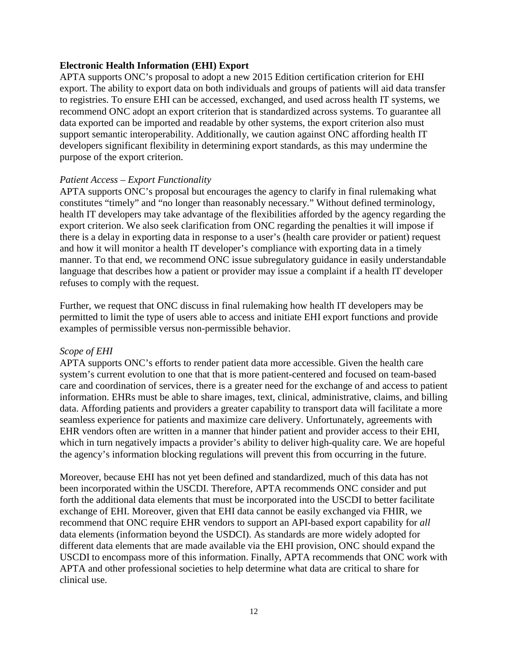#### **Electronic Health Information (EHI) Export**

APTA supports ONC's proposal to adopt a new 2015 Edition certification criterion for EHI export. The ability to export data on both individuals and groups of patients will aid data transfer to registries. To ensure EHI can be accessed, exchanged, and used across health IT systems, we recommend ONC adopt an export criterion that is standardized across systems. To guarantee all data exported can be imported and readable by other systems, the export criterion also must support semantic interoperability. Additionally, we caution against ONC affording health IT developers significant flexibility in determining export standards, as this may undermine the purpose of the export criterion.

#### *Patient Access – Export Functionality*

APTA supports ONC's proposal but encourages the agency to clarify in final rulemaking what constitutes "timely" and "no longer than reasonably necessary." Without defined terminology, health IT developers may take advantage of the flexibilities afforded by the agency regarding the export criterion. We also seek clarification from ONC regarding the penalties it will impose if there is a delay in exporting data in response to a user's (health care provider or patient) request and how it will monitor a health IT developer's compliance with exporting data in a timely manner. To that end, we recommend ONC issue subregulatory guidance in easily understandable language that describes how a patient or provider may issue a complaint if a health IT developer refuses to comply with the request.

Further, we request that ONC discuss in final rulemaking how health IT developers may be permitted to limit the type of users able to access and initiate EHI export functions and provide examples of permissible versus non-permissible behavior.

#### *Scope of EHI*

APTA supports ONC's efforts to render patient data more accessible. Given the health care system's current evolution to one that that is more patient-centered and focused on team-based care and coordination of services, there is a greater need for the exchange of and access to patient information. EHRs must be able to share images, text, clinical, administrative, claims, and billing data. Affording patients and providers a greater capability to transport data will facilitate a more seamless experience for patients and maximize care delivery. Unfortunately, agreements with EHR vendors often are written in a manner that hinder patient and provider access to their EHI, which in turn negatively impacts a provider's ability to deliver high-quality care. We are hopeful the agency's information blocking regulations will prevent this from occurring in the future.

Moreover, because EHI has not yet been defined and standardized, much of this data has not been incorporated within the USCDI. Therefore, APTA recommends ONC consider and put forth the additional data elements that must be incorporated into the USCDI to better facilitate exchange of EHI. Moreover, given that EHI data cannot be easily exchanged via FHIR, we recommend that ONC require EHR vendors to support an API-based export capability for *all* data elements (information beyond the USDCI). As standards are more widely adopted for different data elements that are made available via the EHI provision, ONC should expand the USCDI to encompass more of this information. Finally, APTA recommends that ONC work with APTA and other professional societies to help determine what data are critical to share for clinical use.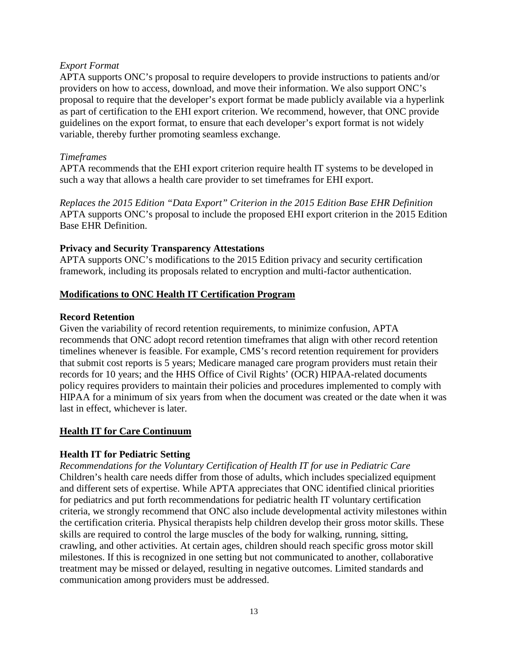### *Export Format*

APTA supports ONC's proposal to require developers to provide instructions to patients and/or providers on how to access, download, and move their information. We also support ONC's proposal to require that the developer's export format be made publicly available via a hyperlink as part of certification to the EHI export criterion. We recommend, however, that ONC provide guidelines on the export format, to ensure that each developer's export format is not widely variable, thereby further promoting seamless exchange.

#### *Timeframes*

APTA recommends that the EHI export criterion require health IT systems to be developed in such a way that allows a health care provider to set timeframes for EHI export.

*Replaces the 2015 Edition "Data Export" Criterion in the 2015 Edition Base EHR Definition*  APTA supports ONC's proposal to include the proposed EHI export criterion in the 2015 Edition Base EHR Definition.

### **Privacy and Security Transparency Attestations**

APTA supports ONC's modifications to the 2015 Edition privacy and security certification framework, including its proposals related to encryption and multi-factor authentication.

### **Modifications to ONC Health IT Certification Program**

### **Record Retention**

Given the variability of record retention requirements, to minimize confusion, APTA recommends that ONC adopt record retention timeframes that align with other record retention timelines whenever is feasible. For example, CMS's record retention requirement for providers that submit cost reports is 5 years; Medicare managed care program providers must retain their records for 10 years; and the HHS Office of Civil Rights' (OCR) HIPAA-related documents policy requires providers to maintain their policies and procedures implemented to comply with HIPAA for a minimum of six years from when the document was created or the date when it was last in effect, whichever is later.

# **Health IT for Care Continuum**

# **Health IT for Pediatric Setting**

*Recommendations for the Voluntary Certification of Health IT for use in Pediatric Care* Children's health care needs differ from those of adults, which includes specialized equipment and different sets of expertise. While APTA appreciates that ONC identified clinical priorities for pediatrics and put forth recommendations for pediatric health IT voluntary certification criteria, we strongly recommend that ONC also include developmental activity milestones within the certification criteria. Physical therapists help children develop their gross motor skills. These skills are required to control the large muscles of the body for walking, running, sitting, crawling, and other activities. At certain ages, children should reach specific gross motor skill milestones. If this is recognized in one setting but not communicated to another, collaborative treatment may be missed or delayed, resulting in negative outcomes. Limited standards and communication among providers must be addressed.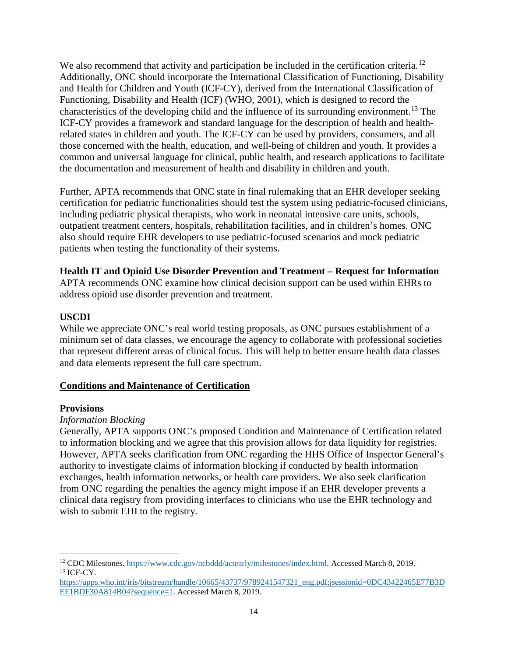We also recommend that activity and participation be included in the certification criteria.<sup>[12](#page-13-0)</sup> Additionally, ONC should incorporate the International Classification of Functioning, Disability and Health for Children and Youth (ICF-CY), derived from the International Classification of Functioning, Disability and Health (ICF) (WHO, 2001), which is designed to record the characteristics of the developing child and the influence of its surrounding environment.[13](#page-13-1) The ICF-CY provides a framework and standard language for the description of health and healthrelated states in children and youth. The ICF-CY can be used by providers, consumers, and all those concerned with the health, education, and well-being of children and youth. It provides a common and universal language for clinical, public health, and research applications to facilitate the documentation and measurement of health and disability in children and youth.

Further, APTA recommends that ONC state in final rulemaking that an EHR developer seeking certification for pediatric functionalities should test the system using pediatric-focused clinicians, including pediatric physical therapists, who work in neonatal intensive care units, schools, outpatient treatment centers, hospitals, rehabilitation facilities, and in children's homes. ONC also should require EHR developers to use pediatric-focused scenarios and mock pediatric patients when testing the functionality of their systems.

**Health IT and Opioid Use Disorder Prevention and Treatment – Request for Information**

APTA recommends ONC examine how clinical decision support can be used within EHRs to address opioid use disorder prevention and treatment.

# **USCDI**

While we appreciate ONC's real world testing proposals, as ONC pursues establishment of a minimum set of data classes, we encourage the agency to collaborate with professional societies that represent different areas of clinical focus. This will help to better ensure health data classes and data elements represent the full care spectrum.

# **Conditions and Maintenance of Certification**

# **Provisions**

# *Information Blocking*

Generally, APTA supports ONC's proposed Condition and Maintenance of Certification related to information blocking and we agree that this provision allows for data liquidity for registries. However, APTA seeks clarification from ONC regarding the HHS Office of Inspector General's authority to investigate claims of information blocking if conducted by health information exchanges, health information networks, or health care providers. We also seek clarification from ONC regarding the penalties the agency might impose if an EHR developer prevents a clinical data registry from providing interfaces to clinicians who use the EHR technology and wish to submit EHI to the registry.

<span id="page-13-0"></span> $\overline{a}$ <sup>12</sup> CDC Milestones. [https://www.cdc.gov/ncbddd/actearly/milestones/index.html.](https://www.cdc.gov/ncbddd/actearly/milestones/index.html) Accessed March 8, 2019.<br><sup>13</sup> ICF-CY.

<span id="page-13-1"></span>[https://apps.who.int/iris/bitstream/handle/10665/43737/9789241547321\\_eng.pdf;jsessionid=0DC43422465E77B3D](https://apps.who.int/iris/bitstream/handle/10665/43737/9789241547321_eng.pdf;jsessionid=0DC43422465E77B3DEF1BDF30A814B04?sequence=1) [EF1BDF30A814B04?sequence=1.](https://apps.who.int/iris/bitstream/handle/10665/43737/9789241547321_eng.pdf;jsessionid=0DC43422465E77B3DEF1BDF30A814B04?sequence=1) Accessed March 8, 2019.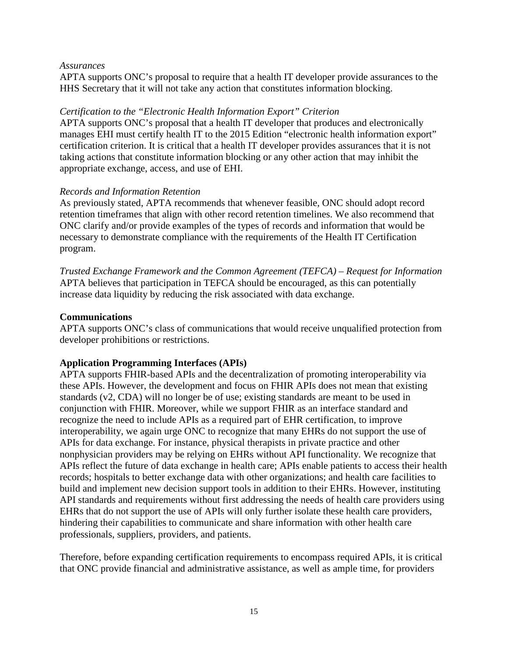#### *Assurances*

APTA supports ONC's proposal to require that a health IT developer provide assurances to the HHS Secretary that it will not take any action that constitutes information blocking.

### *Certification to the "Electronic Health Information Export" Criterion*

APTA supports ONC's proposal that a health IT developer that produces and electronically manages EHI must certify health IT to the 2015 Edition "electronic health information export" certification criterion. It is critical that a health IT developer provides assurances that it is not taking actions that constitute information blocking or any other action that may inhibit the appropriate exchange, access, and use of EHI.

### *Records and Information Retention*

As previously stated, APTA recommends that whenever feasible, ONC should adopt record retention timeframes that align with other record retention timelines. We also recommend that ONC clarify and/or provide examples of the types of records and information that would be necessary to demonstrate compliance with the requirements of the Health IT Certification program.

*Trusted Exchange Framework and the Common Agreement (TEFCA) – Request for Information* APTA believes that participation in TEFCA should be encouraged, as this can potentially increase data liquidity by reducing the risk associated with data exchange.

### **Communications**

APTA supports ONC's class of communications that would receive unqualified protection from developer prohibitions or restrictions.

# **Application Programming Interfaces (APIs)**

APTA supports FHIR-based APIs and the decentralization of promoting interoperability via these APIs. However, the development and focus on FHIR APIs does not mean that existing standards (v2, CDA) will no longer be of use; existing standards are meant to be used in conjunction with FHIR. Moreover, while we support FHIR as an interface standard and recognize the need to include APIs as a required part of EHR certification, to improve interoperability, we again urge ONC to recognize that many EHRs do not support the use of APIs for data exchange. For instance, physical therapists in private practice and other nonphysician providers may be relying on EHRs without API functionality. We recognize that APIs reflect the future of data exchange in health care; APIs enable patients to access their health records; hospitals to better exchange data with other organizations; and health care facilities to build and implement new decision support tools in addition to their EHRs. However, instituting API standards and requirements without first addressing the needs of health care providers using EHRs that do not support the use of APIs will only further isolate these health care providers, hindering their capabilities to communicate and share information with other health care professionals, suppliers, providers, and patients.

Therefore, before expanding certification requirements to encompass required APIs, it is critical that ONC provide financial and administrative assistance, as well as ample time, for providers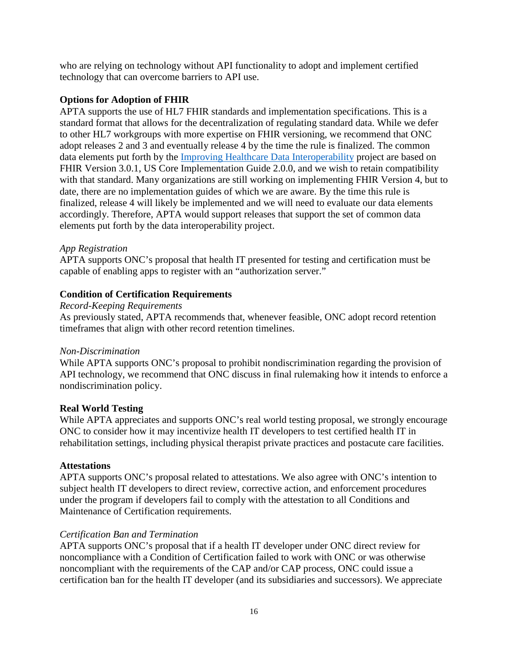who are relying on technology without API functionality to adopt and implement certified technology that can overcome barriers to API use.

### **Options for Adoption of FHIR**

APTA supports the use of HL7 FHIR standards and implementation specifications. This is a standard format that allows for the decentralization of regulating standard data. While we defer to other HL7 workgroups with more expertise on FHIR versioning, we recommend that ONC adopt releases 2 and 3 and eventually release 4 by the time the rule is finalized. The common data elements put forth by the Improving Healthcare Data Interoperability project are based on FHIR Version 3.0.1, US Core Implementation Guide 2.0.0, and we wish to retain compatibility with that standard. Many organizations are still working on implementing FHIR Version 4, but to date, there are no implementation guides of which we are aware. By the time this rule is finalized, release 4 will likely be implemented and we will need to evaluate our data elements accordingly. Therefore, APTA would support releases that support the set of common data elements put forth by the data interoperability project.

#### *App Registration*

APTA supports ONC's proposal that health IT presented for testing and certification must be capable of enabling apps to register with an "authorization server."

### **Condition of Certification Requirements**

#### *Record-Keeping Requirements*

As previously stated, APTA recommends that, whenever feasible, ONC adopt record retention timeframes that align with other record retention timelines.

#### *Non-Discrimination*

While APTA supports ONC's proposal to prohibit nondiscrimination regarding the provision of API technology, we recommend that ONC discuss in final rulemaking how it intends to enforce a nondiscrimination policy.

#### **Real World Testing**

While APTA appreciates and supports ONC's real world testing proposal, we strongly encourage ONC to consider how it may incentivize health IT developers to test certified health IT in rehabilitation settings, including physical therapist private practices and postacute care facilities.

#### **Attestations**

APTA supports ONC's proposal related to attestations. We also agree with ONC's intention to subject health IT developers to direct review, corrective action, and enforcement procedures under the program if developers fail to comply with the attestation to all Conditions and Maintenance of Certification requirements.

#### *Certification Ban and Termination*

APTA supports ONC's proposal that if a health IT developer under ONC direct review for noncompliance with a Condition of Certification failed to work with ONC or was otherwise noncompliant with the requirements of the CAP and/or CAP process, ONC could issue a certification ban for the health IT developer (and its subsidiaries and successors). We appreciate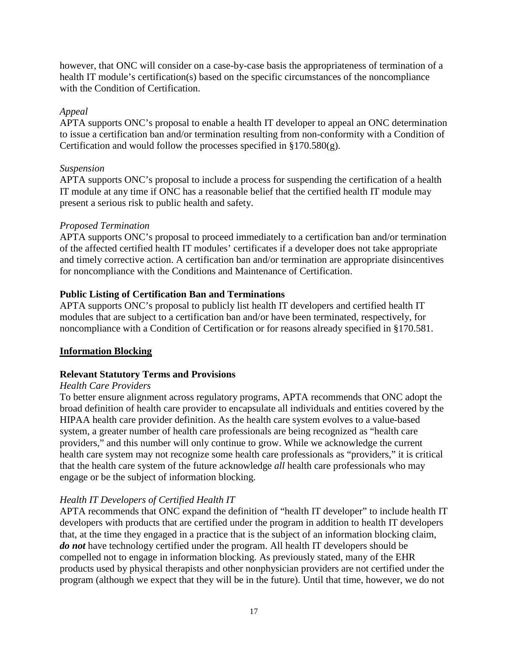however, that ONC will consider on a case-by-case basis the appropriateness of termination of a health IT module's certification(s) based on the specific circumstances of the noncompliance with the Condition of Certification.

### *Appeal*

APTA supports ONC's proposal to enable a health IT developer to appeal an ONC determination to issue a certification ban and/or termination resulting from non-conformity with a Condition of Certification and would follow the processes specified in  $\S 170.580(g)$ .

#### *Suspension*

APTA supports ONC's proposal to include a process for suspending the certification of a health IT module at any time if ONC has a reasonable belief that the certified health IT module may present a serious risk to public health and safety.

### *Proposed Termination*

APTA supports ONC's proposal to proceed immediately to a certification ban and/or termination of the affected certified health IT modules' certificates if a developer does not take appropriate and timely corrective action. A certification ban and/or termination are appropriate disincentives for noncompliance with the Conditions and Maintenance of Certification.

# **Public Listing of Certification Ban and Terminations**

APTA supports ONC's proposal to publicly list health IT developers and certified health IT modules that are subject to a certification ban and/or have been terminated, respectively, for noncompliance with a Condition of Certification or for reasons already specified in §170.581.

# **Information Blocking**

# **Relevant Statutory Terms and Provisions**

#### *Health Care Providers*

To better ensure alignment across regulatory programs, APTA recommends that ONC adopt the broad definition of health care provider to encapsulate all individuals and entities covered by the HIPAA health care provider definition. As the health care system evolves to a value-based system, a greater number of health care professionals are being recognized as "health care providers," and this number will only continue to grow. While we acknowledge the current health care system may not recognize some health care professionals as "providers," it is critical that the health care system of the future acknowledge *all* health care professionals who may engage or be the subject of information blocking.

# *Health IT Developers of Certified Health IT*

APTA recommends that ONC expand the definition of "health IT developer" to include health IT developers with products that are certified under the program in addition to health IT developers that, at the time they engaged in a practice that is the subject of an information blocking claim, *do not* have technology certified under the program. All health IT developers should be compelled not to engage in information blocking. As previously stated, many of the EHR products used by physical therapists and other nonphysician providers are not certified under the program (although we expect that they will be in the future). Until that time, however, we do not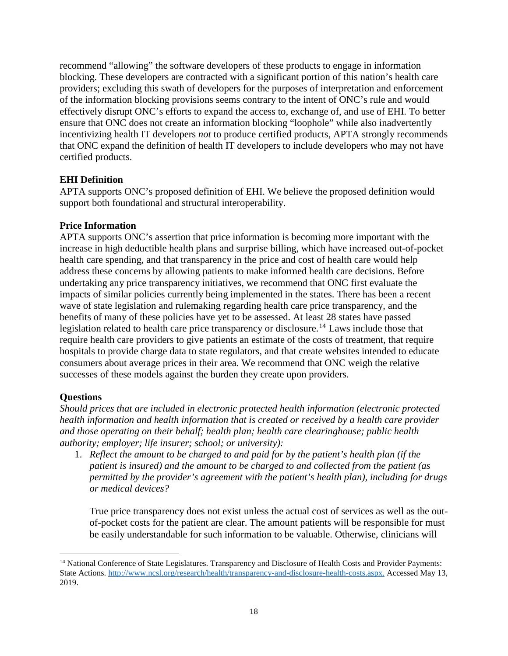recommend "allowing" the software developers of these products to engage in information blocking. These developers are contracted with a significant portion of this nation's health care providers; excluding this swath of developers for the purposes of interpretation and enforcement of the information blocking provisions seems contrary to the intent of ONC's rule and would effectively disrupt ONC's efforts to expand the access to, exchange of, and use of EHI. To better ensure that ONC does not create an information blocking "loophole" while also inadvertently incentivizing health IT developers *not* to produce certified products, APTA strongly recommends that ONC expand the definition of health IT developers to include developers who may not have certified products.

# **EHI Definition**

APTA supports ONC's proposed definition of EHI. We believe the proposed definition would support both foundational and structural interoperability.

# **Price Information**

APTA supports ONC's assertion that price information is becoming more important with the increase in high deductible health plans and surprise billing, which have increased out-of-pocket health care spending, and that transparency in the price and cost of health care would help address these concerns by allowing patients to make informed health care decisions. Before undertaking any price transparency initiatives, we recommend that ONC first evaluate the impacts of similar policies currently being implemented in the states. There has been a recent wave of state legislation and rulemaking regarding health care price transparency, and the benefits of many of these policies have yet to be assessed. At least 28 states have passed legislation related to health care price transparency or disclosure.<sup>[14](#page-17-0)</sup> Laws include those that require health care providers to give patients an estimate of the costs of treatment, that require hospitals to provide charge data to state regulators, and that create websites intended to educate consumers about average prices in their area. We recommend that ONC weigh the relative successes of these models against the burden they create upon providers.

# **Questions**

 $\overline{a}$ 

*Should prices that are included in electronic protected health information (electronic protected health information and health information that is created or received by a health care provider and those operating on their behalf; health plan; health care clearinghouse; public health authority; employer; life insurer; school; or university):*

1. *Reflect the amount to be charged to and paid for by the patient's health plan (if the patient is insured) and the amount to be charged to and collected from the patient (as permitted by the provider's agreement with the patient's health plan), including for drugs or medical devices?*

True price transparency does not exist unless the actual cost of services as well as the outof-pocket costs for the patient are clear. The amount patients will be responsible for must be easily understandable for such information to be valuable. Otherwise, clinicians will

<span id="page-17-0"></span><sup>&</sup>lt;sup>14</sup> National Conference of State Legislatures. Transparency and Disclosure of Health Costs and Provider Payments: State Actions[. http://www.ncsl.org/research/health/transparency-and-disclosure-health-costs.aspx.](http://www.ncsl.org/research/health/transparency-and-disclosure-health-costs.aspx) Accessed May 13, 2019.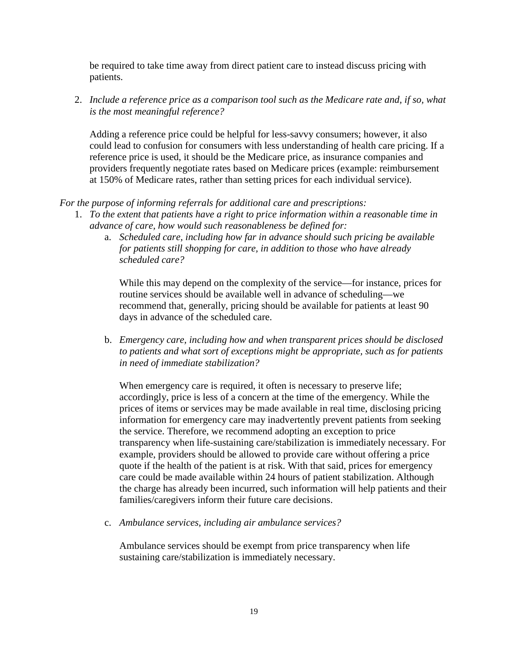be required to take time away from direct patient care to instead discuss pricing with patients.

2. *Include a reference price as a comparison tool such as the Medicare rate and, if so, what is the most meaningful reference?* 

Adding a reference price could be helpful for less-savvy consumers; however, it also could lead to confusion for consumers with less understanding of health care pricing. If a reference price is used, it should be the Medicare price, as insurance companies and providers frequently negotiate rates based on Medicare prices (example: reimbursement at 150% of Medicare rates, rather than setting prices for each individual service).

*For the purpose of informing referrals for additional care and prescriptions:*

- 1. *To the extent that patients have a right to price information within a reasonable time in advance of care, how would such reasonableness be defined for:*
	- a. *Scheduled care, including how far in advance should such pricing be available for patients still shopping for care, in addition to those who have already scheduled care?*

While this may depend on the complexity of the service—for instance, prices for routine services should be available well in advance of scheduling—we recommend that, generally, pricing should be available for patients at least 90 days in advance of the scheduled care.

b. *Emergency care, including how and when transparent prices should be disclosed to patients and what sort of exceptions might be appropriate, such as for patients in need of immediate stabilization?*

When emergency care is required, it often is necessary to preserve life; accordingly, price is less of a concern at the time of the emergency. While the prices of items or services may be made available in real time, disclosing pricing information for emergency care may inadvertently prevent patients from seeking the service. Therefore, we recommend adopting an exception to price transparency when life-sustaining care/stabilization is immediately necessary. For example, providers should be allowed to provide care without offering a price quote if the health of the patient is at risk. With that said, prices for emergency care could be made available within 24 hours of patient stabilization. Although the charge has already been incurred, such information will help patients and their families/caregivers inform their future care decisions.

c. *Ambulance services, including air ambulance services?*

Ambulance services should be exempt from price transparency when life sustaining care/stabilization is immediately necessary.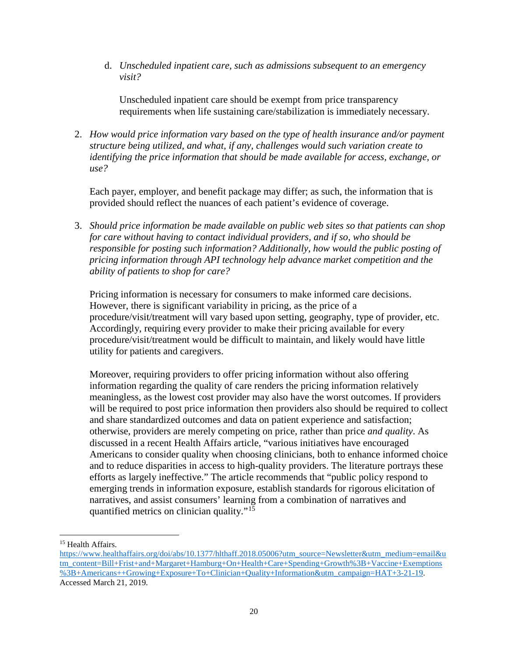d. *Unscheduled inpatient care, such as admissions subsequent to an emergency visit?* 

Unscheduled inpatient care should be exempt from price transparency requirements when life sustaining care/stabilization is immediately necessary.

2. *How would price information vary based on the type of health insurance and/or payment structure being utilized, and what, if any, challenges would such variation create to identifying the price information that should be made available for access, exchange, or use?* 

Each payer, employer, and benefit package may differ; as such, the information that is provided should reflect the nuances of each patient's evidence of coverage.

3. *Should price information be made available on public web sites so that patients can shop for care without having to contact individual providers, and if so, who should be responsible for posting such information? Additionally, how would the public posting of pricing information through API technology help advance market competition and the ability of patients to shop for care?* 

Pricing information is necessary for consumers to make informed care decisions. However, there is significant variability in pricing, as the price of a procedure/visit/treatment will vary based upon setting, geography, type of provider, etc. Accordingly, requiring every provider to make their pricing available for every procedure/visit/treatment would be difficult to maintain, and likely would have little utility for patients and caregivers.

Moreover, requiring providers to offer pricing information without also offering information regarding the quality of care renders the pricing information relatively meaningless, as the lowest cost provider may also have the worst outcomes. If providers will be required to post price information then providers also should be required to collect and share standardized outcomes and data on patient experience and satisfaction; otherwise, providers are merely competing on price, rather than price *and quality*. As discussed in a recent Health Affairs article, "various initiatives have encouraged Americans to consider quality when choosing clinicians, both to enhance informed choice and to reduce disparities in access to high-quality providers. The literature portrays these efforts as largely ineffective." The article recommends that "public policy respond to emerging trends in information exposure, establish standards for rigorous elicitation of narratives, and assist consumers' learning from a combination of narratives and quantified metrics on clinician quality."[15](#page-19-0)

 $\overline{a}$ 

<span id="page-19-0"></span><sup>&</sup>lt;sup>15</sup> Health Affairs.

[https://www.healthaffairs.org/doi/abs/10.1377/hlthaff.2018.05006?utm\\_source=Newsletter&utm\\_medium=email&u](https://www.healthaffairs.org/doi/abs/10.1377/hlthaff.2018.05006?utm_source=Newsletter&utm_medium=email&utm_content=Bill+Frist+and+Margaret+Hamburg+On+Health+Care+Spending+Growth%3B+Vaccine+Exemptions%3B+Americans++Growing+Exposure+To+Clinician+Quality+Information&utm_campaign=HAT+3-21-19) [tm\\_content=Bill+Frist+and+Margaret+Hamburg+On+Health+Care+Spending+Growth%3B+Vaccine+Exemptions](https://www.healthaffairs.org/doi/abs/10.1377/hlthaff.2018.05006?utm_source=Newsletter&utm_medium=email&utm_content=Bill+Frist+and+Margaret+Hamburg+On+Health+Care+Spending+Growth%3B+Vaccine+Exemptions%3B+Americans++Growing+Exposure+To+Clinician+Quality+Information&utm_campaign=HAT+3-21-19) [%3B+Americans++Growing+Exposure+To+Clinician+Quality+Information&utm\\_campaign=HAT+3-21-19.](https://www.healthaffairs.org/doi/abs/10.1377/hlthaff.2018.05006?utm_source=Newsletter&utm_medium=email&utm_content=Bill+Frist+and+Margaret+Hamburg+On+Health+Care+Spending+Growth%3B+Vaccine+Exemptions%3B+Americans++Growing+Exposure+To+Clinician+Quality+Information&utm_campaign=HAT+3-21-19) Accessed March 21, 2019.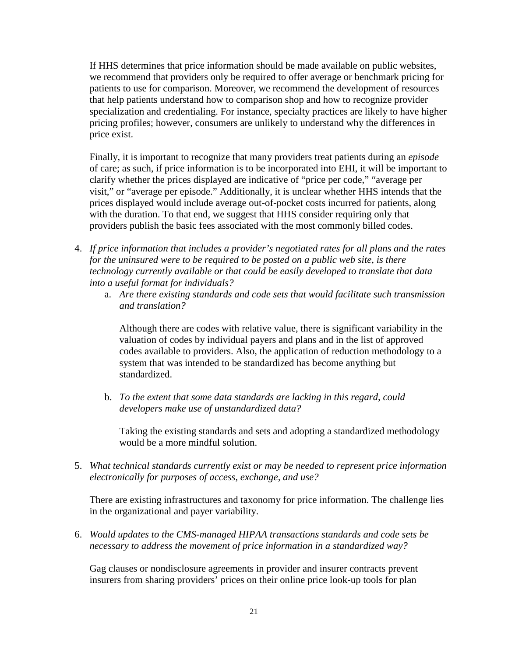If HHS determines that price information should be made available on public websites, we recommend that providers only be required to offer average or benchmark pricing for patients to use for comparison. Moreover, we recommend the development of resources that help patients understand how to comparison shop and how to recognize provider specialization and credentialing. For instance, specialty practices are likely to have higher pricing profiles; however, consumers are unlikely to understand why the differences in price exist.

Finally, it is important to recognize that many providers treat patients during an *episode* of care; as such, if price information is to be incorporated into EHI, it will be important to clarify whether the prices displayed are indicative of "price per code," "average per visit," or "average per episode." Additionally, it is unclear whether HHS intends that the prices displayed would include average out-of-pocket costs incurred for patients, along with the duration. To that end, we suggest that HHS consider requiring only that providers publish the basic fees associated with the most commonly billed codes.

- 4. *If price information that includes a provider's negotiated rates for all plans and the rates for the uninsured were to be required to be posted on a public web site, is there technology currently available or that could be easily developed to translate that data into a useful format for individuals?* 
	- a. *Are there existing standards and code sets that would facilitate such transmission and translation?*

Although there are codes with relative value, there is significant variability in the valuation of codes by individual payers and plans and in the list of approved codes available to providers. Also, the application of reduction methodology to a system that was intended to be standardized has become anything but standardized.

b. *To the extent that some data standards are lacking in this regard, could developers make use of unstandardized data?* 

Taking the existing standards and sets and adopting a standardized methodology would be a more mindful solution.

5. *What technical standards currently exist or may be needed to represent price information electronically for purposes of access, exchange, and use?* 

There are existing infrastructures and taxonomy for price information. The challenge lies in the organizational and payer variability.

6. *Would updates to the CMS-managed HIPAA transactions standards and code sets be necessary to address the movement of price information in a standardized way?*

Gag clauses or nondisclosure agreements in provider and insurer contracts prevent insurers from sharing providers' prices on their online price look-up tools for plan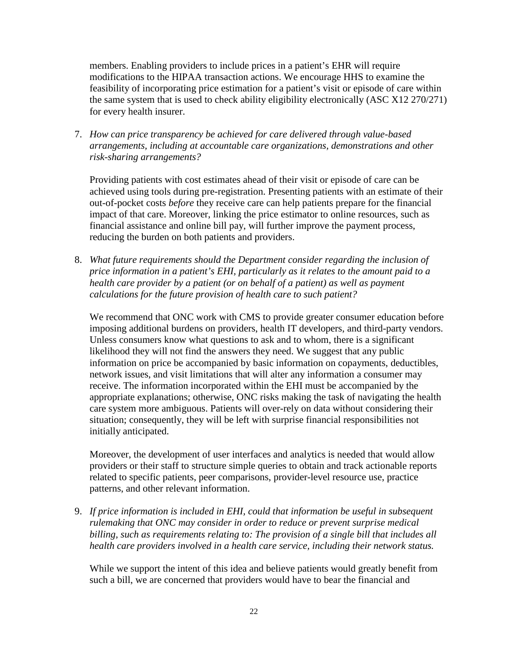members. Enabling providers to include prices in a patient's EHR will require modifications to the HIPAA transaction actions. We encourage HHS to examine the feasibility of incorporating price estimation for a patient's visit or episode of care within the same system that is used to check ability eligibility electronically (ASC X12 270/271) for every health insurer.

7. *How can price transparency be achieved for care delivered through value-based arrangements, including at accountable care organizations, demonstrations and other risk-sharing arrangements?*

Providing patients with cost estimates ahead of their visit or episode of care can be achieved using tools during pre-registration. Presenting patients with an estimate of their out-of-pocket costs *before* they receive care can help patients prepare for the financial impact of that care. Moreover, linking the price estimator to online resources, such as financial assistance and online bill pay, will further improve the payment process, reducing the burden on both patients and providers.

8. *What future requirements should the Department consider regarding the inclusion of price information in a patient's EHI, particularly as it relates to the amount paid to a health care provider by a patient (or on behalf of a patient) as well as payment calculations for the future provision of health care to such patient?* 

We recommend that ONC work with CMS to provide greater consumer education before imposing additional burdens on providers, health IT developers, and third-party vendors. Unless consumers know what questions to ask and to whom, there is a significant likelihood they will not find the answers they need. We suggest that any public information on price be accompanied by basic information on copayments, deductibles, network issues, and visit limitations that will alter any information a consumer may receive. The information incorporated within the EHI must be accompanied by the appropriate explanations; otherwise, ONC risks making the task of navigating the health care system more ambiguous. Patients will over-rely on data without considering their situation; consequently, they will be left with surprise financial responsibilities not initially anticipated.

Moreover, the development of user interfaces and analytics is needed that would allow providers or their staff to structure simple queries to obtain and track actionable reports related to specific patients, peer comparisons, provider-level resource use, practice patterns, and other relevant information.

9. *If price information is included in EHI, could that information be useful in subsequent rulemaking that ONC may consider in order to reduce or prevent surprise medical billing, such as requirements relating to: The provision of a single bill that includes all health care providers involved in a health care service, including their network status.* 

While we support the intent of this idea and believe patients would greatly benefit from such a bill, we are concerned that providers would have to bear the financial and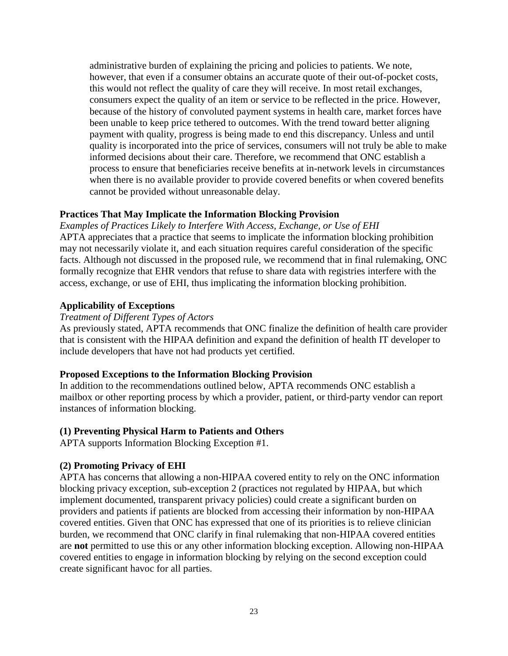administrative burden of explaining the pricing and policies to patients. We note, however, that even if a consumer obtains an accurate quote of their out-of-pocket costs, this would not reflect the quality of care they will receive. In most retail exchanges, consumers expect the quality of an item or service to be reflected in the price. However, because of the history of convoluted payment systems in health care, market forces have been unable to keep price tethered to outcomes. With the trend toward better aligning payment with quality, progress is being made to end this discrepancy. Unless and until quality is incorporated into the price of services, consumers will not truly be able to make informed decisions about their care. Therefore, we recommend that ONC establish a process to ensure that beneficiaries receive benefits at in-network levels in circumstances when there is no available provider to provide covered benefits or when covered benefits cannot be provided without unreasonable delay.

### **Practices That May Implicate the Information Blocking Provision**

*Examples of Practices Likely to Interfere With Access, Exchange, or Use of EHI*  APTA appreciates that a practice that seems to implicate the information blocking prohibition may not necessarily violate it, and each situation requires careful consideration of the specific facts. Although not discussed in the proposed rule, we recommend that in final rulemaking, ONC formally recognize that EHR vendors that refuse to share data with registries interfere with the access, exchange, or use of EHI, thus implicating the information blocking prohibition.

# **Applicability of Exceptions**

#### *Treatment of Different Types of Actors*

As previously stated, APTA recommends that ONC finalize the definition of health care provider that is consistent with the HIPAA definition and expand the definition of health IT developer to include developers that have not had products yet certified.

#### **Proposed Exceptions to the Information Blocking Provision**

In addition to the recommendations outlined below, APTA recommends ONC establish a mailbox or other reporting process by which a provider, patient, or third-party vendor can report instances of information blocking.

#### **(1) Preventing Physical Harm to Patients and Others**

APTA supports Information Blocking Exception #1.

#### **(2) Promoting Privacy of EHI**

APTA has concerns that allowing a non-HIPAA covered entity to rely on the ONC information blocking privacy exception, sub-exception 2 (practices not regulated by HIPAA, but which implement documented, transparent privacy policies) could create a significant burden on providers and patients if patients are blocked from accessing their information by non-HIPAA covered entities. Given that ONC has expressed that one of its priorities is to relieve clinician burden, we recommend that ONC clarify in final rulemaking that non-HIPAA covered entities are **not** permitted to use this or any other information blocking exception. Allowing non-HIPAA covered entities to engage in information blocking by relying on the second exception could create significant havoc for all parties.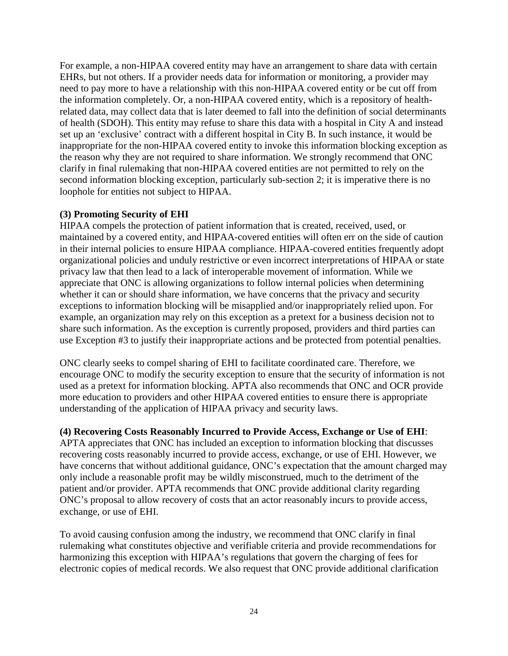For example, a non-HIPAA covered entity may have an arrangement to share data with certain EHRs, but not others. If a provider needs data for information or monitoring, a provider may need to pay more to have a relationship with this non-HIPAA covered entity or be cut off from the information completely. Or, a non-HIPAA covered entity, which is a repository of healthrelated data, may collect data that is later deemed to fall into the definition of social determinants of health (SDOH). This entity may refuse to share this data with a hospital in City A and instead set up an 'exclusive' contract with a different hospital in City B. In such instance, it would be inappropriate for the non-HIPAA covered entity to invoke this information blocking exception as the reason why they are not required to share information. We strongly recommend that ONC clarify in final rulemaking that non-HIPAA covered entities are not permitted to rely on the second information blocking exception, particularly sub-section 2; it is imperative there is no loophole for entities not subject to HIPAA.

# **(3) Promoting Security of EHI**

HIPAA compels the protection of patient information that is created, received, used, or maintained by a covered entity, and HIPAA-covered entities will often err on the side of caution in their internal policies to ensure HIPAA compliance. HIPAA-covered entities frequently adopt organizational policies and unduly restrictive or even incorrect interpretations of HIPAA or state privacy law that then lead to a lack of interoperable movement of information. While we appreciate that ONC is allowing organizations to follow internal policies when determining whether it can or should share information, we have concerns that the privacy and security exceptions to information blocking will be misapplied and/or inappropriately relied upon. For example, an organization may rely on this exception as a pretext for a business decision not to share such information. As the exception is currently proposed, providers and third parties can use Exception #3 to justify their inappropriate actions and be protected from potential penalties.

ONC clearly seeks to compel sharing of EHI to facilitate coordinated care. Therefore, we encourage ONC to modify the security exception to ensure that the security of information is not used as a pretext for information blocking. APTA also recommends that ONC and OCR provide more education to providers and other HIPAA covered entities to ensure there is appropriate understanding of the application of HIPAA privacy and security laws.

#### **(4) Recovering Costs Reasonably Incurred to Provide Access, Exchange or Use of EHI**:

APTA appreciates that ONC has included an exception to information blocking that discusses recovering costs reasonably incurred to provide access, exchange, or use of EHI. However, we have concerns that without additional guidance, ONC's expectation that the amount charged may only include a reasonable profit may be wildly misconstrued, much to the detriment of the patient and/or provider. APTA recommends that ONC provide additional clarity regarding ONC's proposal to allow recovery of costs that an actor reasonably incurs to provide access, exchange, or use of EHI.

To avoid causing confusion among the industry, we recommend that ONC clarify in final rulemaking what constitutes objective and verifiable criteria and provide recommendations for harmonizing this exception with HIPAA's regulations that govern the charging of fees for electronic copies of medical records. We also request that ONC provide additional clarification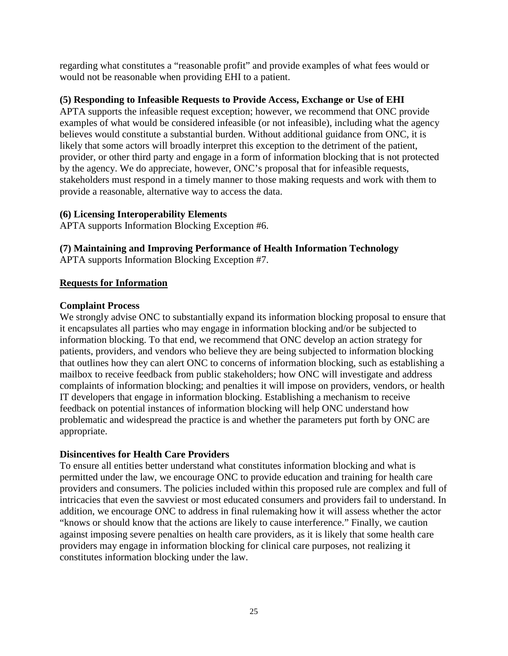regarding what constitutes a "reasonable profit" and provide examples of what fees would or would not be reasonable when providing EHI to a patient.

# **(5) Responding to Infeasible Requests to Provide Access, Exchange or Use of EHI**

APTA supports the infeasible request exception; however, we recommend that ONC provide examples of what would be considered infeasible (or not infeasible), including what the agency believes would constitute a substantial burden. Without additional guidance from ONC, it is likely that some actors will broadly interpret this exception to the detriment of the patient, provider, or other third party and engage in a form of information blocking that is not protected by the agency. We do appreciate, however, ONC's proposal that for infeasible requests, stakeholders must respond in a timely manner to those making requests and work with them to provide a reasonable, alternative way to access the data.

# **(6) Licensing Interoperability Elements**

APTA supports Information Blocking Exception #6.

# **(7) Maintaining and Improving Performance of Health Information Technology**

APTA supports Information Blocking Exception #7.

# **Requests for Information**

### **Complaint Process**

We strongly advise ONC to substantially expand its information blocking proposal to ensure that it encapsulates all parties who may engage in information blocking and/or be subjected to information blocking. To that end, we recommend that ONC develop an action strategy for patients, providers, and vendors who believe they are being subjected to information blocking that outlines how they can alert ONC to concerns of information blocking, such as establishing a mailbox to receive feedback from public stakeholders; how ONC will investigate and address complaints of information blocking; and penalties it will impose on providers, vendors, or health IT developers that engage in information blocking. Establishing a mechanism to receive feedback on potential instances of information blocking will help ONC understand how problematic and widespread the practice is and whether the parameters put forth by ONC are appropriate.

# **Disincentives for Health Care Providers**

To ensure all entities better understand what constitutes information blocking and what is permitted under the law, we encourage ONC to provide education and training for health care providers and consumers. The policies included within this proposed rule are complex and full of intricacies that even the savviest or most educated consumers and providers fail to understand. In addition, we encourage ONC to address in final rulemaking how it will assess whether the actor "knows or should know that the actions are likely to cause interference." Finally, we caution against imposing severe penalties on health care providers, as it is likely that some health care providers may engage in information blocking for clinical care purposes, not realizing it constitutes information blocking under the law.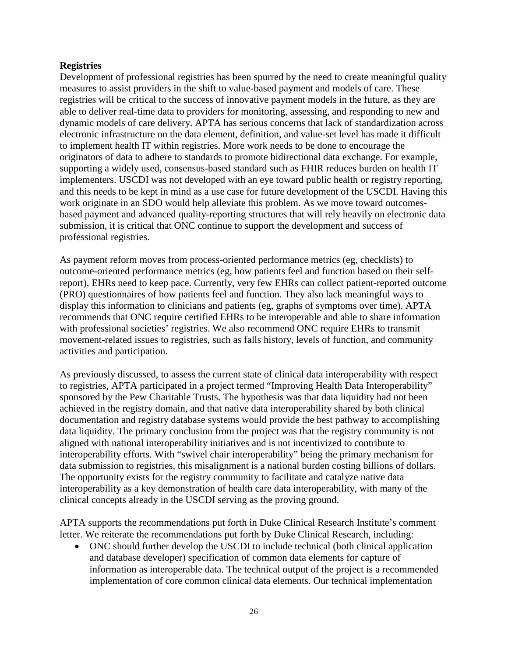### **Registries**

Development of professional registries has been spurred by the need to create meaningful quality measures to assist providers in the shift to value-based payment and models of care. These registries will be critical to the success of innovative payment models in the future, as they are able to deliver real-time data to providers for monitoring, assessing, and responding to new and dynamic models of care delivery. APTA has serious concerns that lack of standardization across electronic infrastructure on the data element, definition, and value-set level has made it difficult to implement health IT within registries. More work needs to be done to encourage the originators of data to adhere to standards to promote bidirectional data exchange. For example, supporting a widely used, consensus-based standard such as FHIR reduces burden on health IT implementers. USCDI was not developed with an eye toward public health or registry reporting, and this needs to be kept in mind as a use case for future development of the USCDI. Having this work originate in an SDO would help alleviate this problem. As we move toward outcomesbased payment and advanced quality-reporting structures that will rely heavily on electronic data submission, it is critical that ONC continue to support the development and success of professional registries.

As payment reform moves from process-oriented performance metrics (eg, checklists) to outcome-oriented performance metrics (eg, how patients feel and function based on their selfreport), EHRs need to keep pace. Currently, very few EHRs can collect patient-reported outcome (PRO) questionnaires of how patients feel and function. They also lack meaningful ways to display this information to clinicians and patients (eg, graphs of symptoms over time). APTA recommends that ONC require certified EHRs to be interoperable and able to share information with professional societies' registries. We also recommend ONC require EHRs to transmit movement-related issues to registries, such as falls history, levels of function, and community activities and participation.

As previously discussed, to assess the current state of clinical data interoperability with respect to registries, APTA participated in a project termed "Improving Health Data Interoperability" sponsored by the Pew Charitable Trusts. The hypothesis was that data liquidity had not been achieved in the registry domain, and that native data interoperability shared by both clinical documentation and registry database systems would provide the best pathway to accomplishing data liquidity. The primary conclusion from the project was that the registry community is not aligned with national interoperability initiatives and is not incentivized to contribute to interoperability efforts. With "swivel chair interoperability" being the primary mechanism for data submission to registries, this misalignment is a national burden costing billions of dollars. The opportunity exists for the registry community to facilitate and catalyze native data interoperability as a key demonstration of health care data interoperability, with many of the clinical concepts already in the USCDI serving as the proving ground.

APTA supports the recommendations put forth in Duke Clinical Research Institute's comment letter. We reiterate the recommendations put forth by Duke Clinical Research, including:

• ONC should further develop the USCDI to include technical (both clinical application and database developer) specification of common data elements for capture of information as interoperable data. The technical output of the project is a recommended implementation of core common clinical data elements. Our technical implementation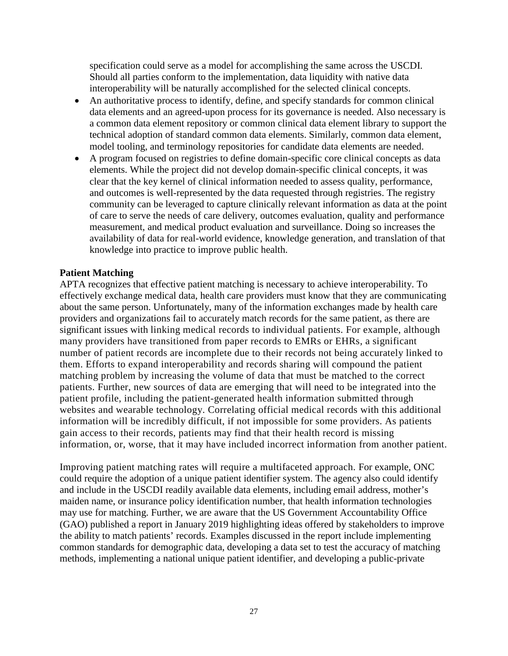specification could serve as a model for accomplishing the same across the USCDI. Should all parties conform to the implementation, data liquidity with native data interoperability will be naturally accomplished for the selected clinical concepts.

- An authoritative process to identify, define, and specify standards for common clinical data elements and an agreed-upon process for its governance is needed. Also necessary is a common data element repository or common clinical data element library to support the technical adoption of standard common data elements. Similarly, common data element, model tooling, and terminology repositories for candidate data elements are needed.
- A program focused on registries to define domain-specific core clinical concepts as data elements. While the project did not develop domain-specific clinical concepts, it was clear that the key kernel of clinical information needed to assess quality, performance, and outcomes is well-represented by the data requested through registries. The registry community can be leveraged to capture clinically relevant information as data at the point of care to serve the needs of care delivery, outcomes evaluation, quality and performance measurement, and medical product evaluation and surveillance. Doing so increases the availability of data for real-world evidence, knowledge generation, and translation of that knowledge into practice to improve public health.

#### **Patient Matching**

APTA recognizes that effective patient matching is necessary to achieve interoperability. To effectively exchange medical data, health care providers must know that they are communicating about the same person. Unfortunately, many of the information exchanges made by health care providers and organizations fail to accurately match records for the same patient, as there are significant issues with linking medical records to individual patients. For example, although many providers have transitioned from paper records to EMRs or EHRs, a significant number of patient records are incomplete due to their records not being accurately linked to them. Efforts to expand interoperability and records sharing will compound the patient matching problem by increasing the volume of data that must be matched to the correct patients. Further, new sources of data are emerging that will need to be integrated into the patient profile, including the patient-generated health information submitted through websites and wearable technology. Correlating official medical records with this additional information will be incredibly difficult, if not impossible for some providers. As patients gain access to their records, patients may find that their health record is missing information, or, worse, that it may have included incorrect information from another patient.

Improving patient matching rates will require a multifaceted approach. For example, ONC could require the adoption of a unique patient identifier system. The agency also could identify and include in the USCDI readily available data elements, including email address, mother's maiden name, or insurance policy identification number, that health information technologies may use for matching. Further, we are aware that the US Government Accountability Office (GAO) published a report in January 2019 highlighting ideas offered by stakeholders to improve the ability to match patients' records. Examples discussed in the report include implementing common standards for demographic data, developing a data set to test the accuracy of matching methods, implementing a national unique patient identifier, and developing a public-private